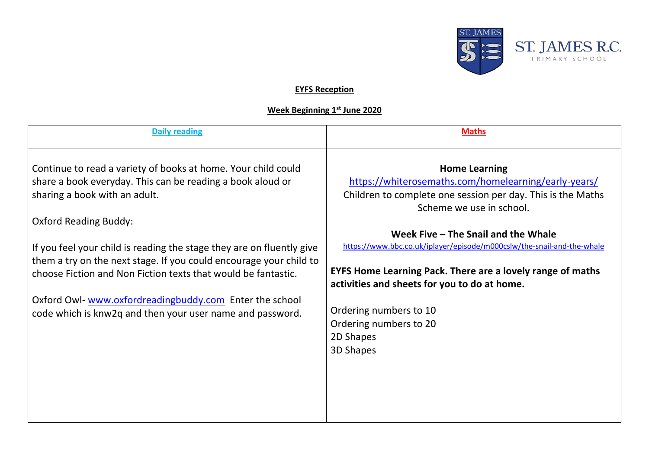

## **EYFS Reception**

## **Week Beginning 1st June 2020**

| <b>Daily reading</b>                                                  | <b>Maths</b>                                                           |
|-----------------------------------------------------------------------|------------------------------------------------------------------------|
|                                                                       |                                                                        |
|                                                                       |                                                                        |
| Continue to read a variety of books at home. Your child could         | <b>Home Learning</b>                                                   |
| share a book everyday. This can be reading a book aloud or            | https://whiterosemaths.com/homelearning/early-years/                   |
|                                                                       |                                                                        |
| sharing a book with an adult.                                         | Children to complete one session per day. This is the Maths            |
|                                                                       | Scheme we use in school.                                               |
| <b>Oxford Reading Buddy:</b>                                          |                                                                        |
|                                                                       | Week Five - The Snail and the Whale                                    |
| If you feel your child is reading the stage they are on fluently give | https://www.bbc.co.uk/iplayer/episode/m000cslw/the-snail-and-the-whale |
| them a try on the next stage. If you could encourage your child to    |                                                                        |
| choose Fiction and Non Fiction texts that would be fantastic.         | <b>EYFS Home Learning Pack. There are a lovely range of maths</b>      |
|                                                                       | activities and sheets for you to do at home.                           |
|                                                                       |                                                                        |
| Oxford Owl-www.oxfordreadingbuddy.com Enter the school                | Ordering numbers to 10                                                 |
| code which is knw2q and then your user name and password.             |                                                                        |
|                                                                       | Ordering numbers to 20                                                 |
|                                                                       | 2D Shapes                                                              |
|                                                                       | 3D Shapes                                                              |
|                                                                       |                                                                        |
|                                                                       |                                                                        |
|                                                                       |                                                                        |
|                                                                       |                                                                        |
|                                                                       |                                                                        |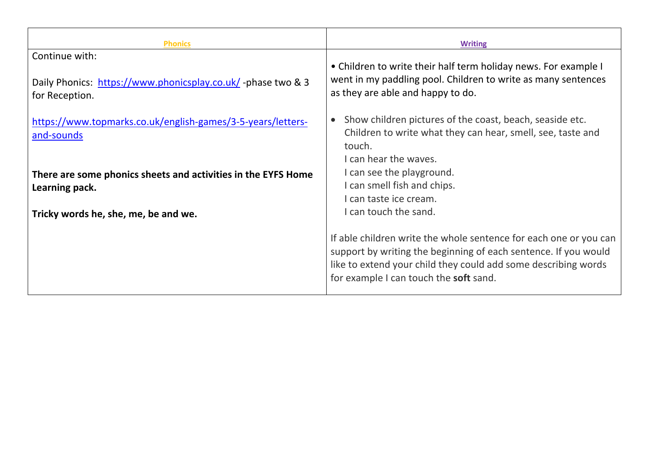| <b>Phonics</b>                                                                                  | <b>Writing</b>                                                                                                                                                                                                                                   |
|-------------------------------------------------------------------------------------------------|--------------------------------------------------------------------------------------------------------------------------------------------------------------------------------------------------------------------------------------------------|
| Continue with:<br>Daily Phonics: https://www.phonicsplay.co.uk/-phase two & 3<br>for Reception. | • Children to write their half term holiday news. For example I<br>went in my paddling pool. Children to write as many sentences<br>as they are able and happy to do.                                                                            |
| https://www.topmarks.co.uk/english-games/3-5-years/letters-<br>and-sounds                       | Show children pictures of the coast, beach, seaside etc.<br>Children to write what they can hear, smell, see, taste and<br>touch.<br>I can hear the waves.                                                                                       |
| There are some phonics sheets and activities in the EYFS Home<br>Learning pack.                 | I can see the playground.<br>I can smell fish and chips.<br>I can taste ice cream.<br>I can touch the sand.                                                                                                                                      |
| Tricky words he, she, me, be and we.                                                            | If able children write the whole sentence for each one or you can<br>support by writing the beginning of each sentence. If you would<br>like to extend your child they could add some describing words<br>for example I can touch the soft sand. |